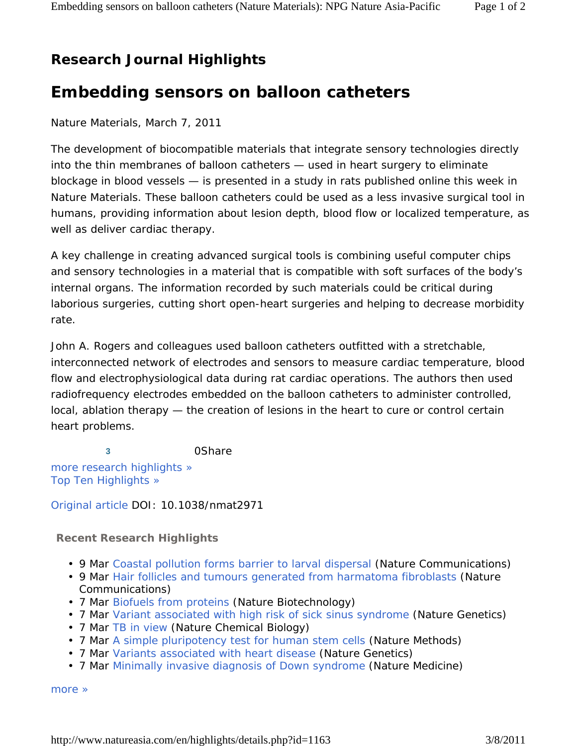## **Research Journal Highlights**

## **Embedding sensors on balloon catheters**

Nature Materials, March 7, 2011

The development of biocompatible materials that integrate sensory technologies directly into the thin membranes of balloon catheters — used in heart surgery to eliminate blockage in blood vessels — is presented in a study in rats published online this week in *Nature Materials*. These balloon catheters could be used as a less invasive surgical tool in humans, providing information about lesion depth, blood flow or localized temperature, as well as deliver cardiac therapy.

A key challenge in creating advanced surgical tools is combining useful computer chips and sensory technologies in a material that is compatible with soft surfaces of the body's internal organs. The information recorded by such materials could be critical during laborious surgeries, cutting short open-heart surgeries and helping to decrease morbidity rate.

John A. Rogers and colleagues used balloon catheters outfitted with a stretchable, interconnected network of electrodes and sensors to measure cardiac temperature, blood flow and electrophysiological data during rat cardiac operations. The authors then used radiofrequency electrodes embedded on the balloon catheters to administer controlled, local, ablation therapy — the creation of lesions in the heart to cure or control certain heart problems.

**3** 0Share more research highlights » Top Ten Highlights »

Original article DOI: 10.1038/nmat2971

## **Recent Research Highlights**

- 9 Mar Coastal pollution forms barrier to larval dispersal (Nature Communications)
- 9 Mar Hair follicles and tumours generated from harmatoma fibroblasts (Nature Communications)
- 7 Mar Biofuels from proteins (Nature Biotechnology)
- 7 Mar Variant associated with high risk of sick sinus syndrome (Nature Genetics)
- 7 Mar TB in view (Nature Chemical Biology)
- 7 Mar A simple pluripotency test for human stem cells (Nature Methods)
- 7 Mar Variants associated with heart disease (Nature Genetics)
- 7 Mar Minimally invasive diagnosis of Down syndrome (Nature Medicine)

more »